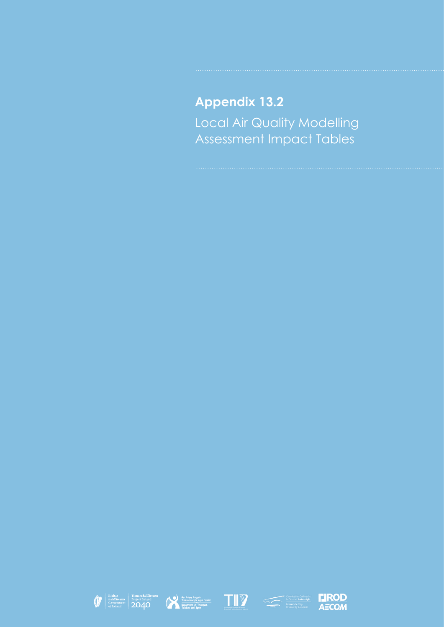# **Appendix 13.2** Local Air Quality Modelling Assessment Impact Tables









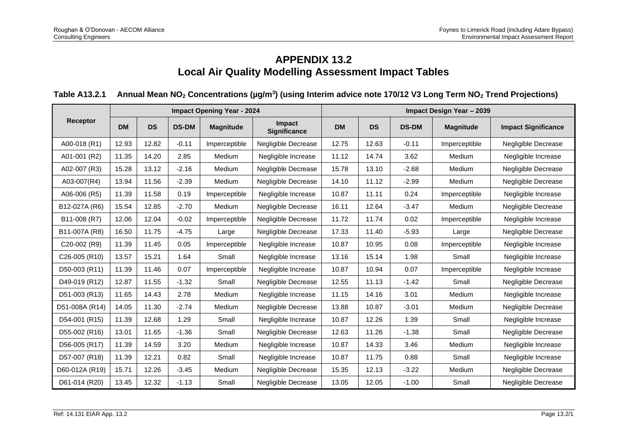# **APPENDIX 13.2 Local Air Quality Modelling Assessment Impact Tables**

# **Table A13.2.1 Annual Mean NO<sup>2</sup> Concentrations (µg/m<sup>3</sup> ) (using Interim advice note 170/12 V3 Long Term NO<sup>2</sup> Trend Projections)**

|                |           |           |              | <b>Impact Opening Year - 2024</b> |                               | Impact Design Year - 2039 |           |              |                  |                            |  |  |
|----------------|-----------|-----------|--------------|-----------------------------------|-------------------------------|---------------------------|-----------|--------------|------------------|----------------------------|--|--|
| Receptor       | <b>DM</b> | <b>DS</b> | <b>DS-DM</b> | <b>Magnitude</b>                  | Impact<br><b>Significance</b> | <b>DM</b>                 | <b>DS</b> | <b>DS-DM</b> | <b>Magnitude</b> | <b>Impact Significance</b> |  |  |
| A00-018 (R1)   | 12.93     | 12.82     | $-0.11$      | Imperceptible                     | <b>Negligible Decrease</b>    | 12.75                     | 12.63     | $-0.11$      | Imperceptible    | Negligible Decrease        |  |  |
| A01-001 (R2)   | 11.35     | 14.20     | 2.85         | Medium                            | Negligible Increase           | 11.12                     | 14.74     | 3.62         | Medium           | Negligible Increase        |  |  |
| A02-007 (R3)   | 15.28     | 13.12     | $-2.16$      | Medium                            | Negligible Decrease           | 15.78                     | 13.10     | $-2.68$      | Medium           | Negligible Decrease        |  |  |
| A03-007(R4)    | 13.94     | 11.56     | $-2.39$      | Medium                            | Negligible Decrease           | 14.10                     | 11.12     | $-2.99$      | Medium           | Negligible Decrease        |  |  |
| A06-006 (R5)   | 11.39     | 11.58     | 0.19         | Imperceptible                     | Negligible Increase           | 10.87                     | 11.11     | 0.24         | Imperceptible    | Negligible Increase        |  |  |
| B12-027A (R6)  | 15.54     | 12.85     | $-2.70$      | Medium                            | Negligible Decrease           | 16.11                     | 12.64     | $-3.47$      | Medium           | Negligible Decrease        |  |  |
| B11-008 (R7)   | 12.06     | 12.04     | $-0.02$      | Imperceptible                     | <b>Negligible Decrease</b>    | 11.72                     | 11.74     | 0.02         | Imperceptible    | Negligible Increase        |  |  |
| B11-007A (R8)  | 16.50     | 11.75     | $-4.75$      | Large                             | Negligible Decrease           | 17.33                     | 11.40     | $-5.93$      | Large            | Negligible Decrease        |  |  |
| C20-002 (R9)   | 11.39     | 11.45     | 0.05         | Imperceptible                     | Negligible Increase           | 10.87                     | 10.95     | 0.08         | Imperceptible    | Negligible Increase        |  |  |
| C26-005 (R10)  | 13.57     | 15.21     | 1.64         | Small                             | Negligible Increase           | 13.16                     | 15.14     | 1.98         | Small            | Negligible Increase        |  |  |
| D50-003 (R11)  | 11.39     | 11.46     | 0.07         | Imperceptible                     | Negligible Increase           | 10.87                     | 10.94     | 0.07         | Imperceptible    | Negligible Increase        |  |  |
| D49-019 (R12)  | 12.87     | 11.55     | $-1.32$      | Small                             | Negligible Decrease           | 12.55                     | 11.13     | $-1.42$      | Small            | Negligible Decrease        |  |  |
| D51-003 (R13)  | 11.65     | 14.43     | 2.78         | Medium                            | Negligible Increase           | 11.15                     | 14.16     | 3.01         | Medium           | Negligible Increase        |  |  |
| D51-008A (R14) | 14.05     | 11.30     | $-2.74$      | Medium                            | Negligible Decrease           | 13.88                     | 10.87     | $-3.01$      | <b>Medium</b>    | Negligible Decrease        |  |  |
| D54-001 (R15)  | 11.39     | 12.68     | 1.29         | Small                             | Negligible Increase           | 10.87                     | 12.26     | 1.39         | Small            | Negligible Increase        |  |  |
| D55-002 (R16)  | 13.01     | 11.65     | $-1.36$      | Small                             | Negligible Decrease           | 12.63                     | 11.26     | $-1.38$      | Small            | Negligible Decrease        |  |  |
| D56-005 (R17)  | 11.39     | 14.59     | 3.20         | Medium                            | Negligible Increase           | 10.87                     | 14.33     | 3.46         | <b>Medium</b>    | Negligible Increase        |  |  |
| D57-007 (R18)  | 11.39     | 12.21     | 0.82         | Small                             | Negligible Increase           | 10.87                     | 11.75     | 0.88         | Small            | Negligible Increase        |  |  |
| D60-012A (R19) | 15.71     | 12.26     | $-3.45$      | Medium                            | Negligible Decrease           | 15.35                     | 12.13     | $-3.22$      | Medium           | Negligible Decrease        |  |  |
| D61-014 (R20)  | 13.45     | 12.32     | $-1.13$      | Small                             | Negligible Decrease           | 13.05                     | 12.05     | $-1.00$      | Small            | Negligible Decrease        |  |  |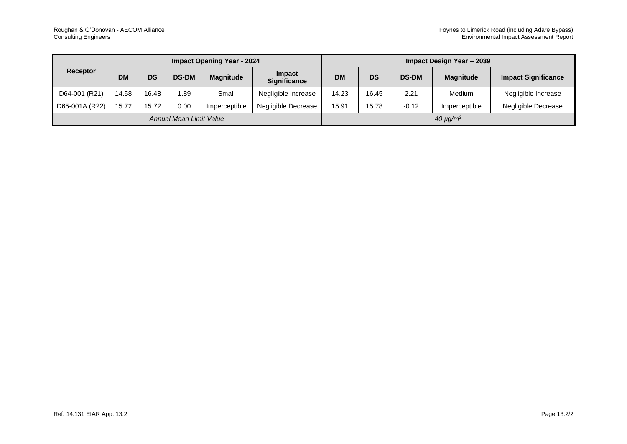| Receptor                |           |           |              | <b>Impact Opening Year - 2024</b> |                               | Impact Design Year - 2039 |                |              |                  |                            |  |
|-------------------------|-----------|-----------|--------------|-----------------------------------|-------------------------------|---------------------------|----------------|--------------|------------------|----------------------------|--|
|                         | <b>DM</b> | <b>DS</b> | <b>DS-DM</b> | <b>Magnitude</b>                  | Impact<br><b>Significance</b> | <b>DM</b>                 | <b>DS</b>      | <b>DS-DM</b> | <b>Magnitude</b> | <b>Impact Significance</b> |  |
| D64-001 (R21)           | 14.58     | 16.48     | .89          | Small                             | Negligible Increase           | 14.23                     | 16.45          | 2.21         | Medium           | Negligible Increase        |  |
| D65-001A (R22)          | 15.72     | 15.72     | 0.00         | Imperceptible                     | Negligible Decrease           | 15.91                     | 15.78          | $-0.12$      | Imperceptible    | Negligible Decrease        |  |
| Annual Mean Limit Value |           |           |              |                                   |                               |                           | $40 \mu g/m^3$ |              |                  |                            |  |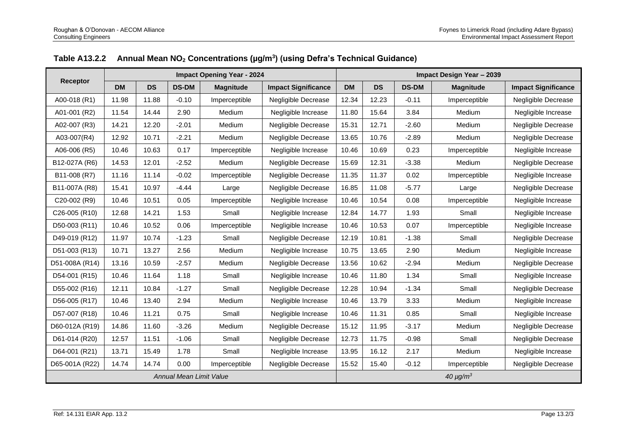|                 |           |           |                                | <b>Impact Opening Year - 2024</b> |                            | Impact Design Year - 2039 |           |              |                  |                            |  |
|-----------------|-----------|-----------|--------------------------------|-----------------------------------|----------------------------|---------------------------|-----------|--------------|------------------|----------------------------|--|
| <b>Receptor</b> | <b>DM</b> | <b>DS</b> | <b>DS-DM</b>                   | <b>Magnitude</b>                  | <b>Impact Significance</b> | <b>DM</b>                 | <b>DS</b> | <b>DS-DM</b> | <b>Magnitude</b> | <b>Impact Significance</b> |  |
| A00-018 (R1)    | 11.98     | 11.88     | $-0.10$                        | Imperceptible                     | <b>Negligible Decrease</b> | 12.34                     | 12.23     | $-0.11$      | Imperceptible    | Negligible Decrease        |  |
| A01-001 (R2)    | 11.54     | 14.44     | 2.90                           | Medium                            | Negligible Increase        | 11.80                     | 15.64     | 3.84         | Medium           | Negligible Increase        |  |
| A02-007 (R3)    | 14.21     | 12.20     | $-2.01$                        | Medium                            | Negligible Decrease        | 15.31                     | 12.71     | $-2.60$      | Medium           | Negligible Decrease        |  |
| A03-007(R4)     | 12.92     | 10.71     | $-2.21$                        | Medium                            | Negligible Decrease        | 13.65                     | 10.76     | $-2.89$      | Medium           | Negligible Decrease        |  |
| A06-006 (R5)    | 10.46     | 10.63     | 0.17                           | Imperceptible                     | Negligible Increase        | 10.46                     | 10.69     | 0.23         | Imperceptible    | Negligible Increase        |  |
| B12-027A (R6)   | 14.53     | 12.01     | $-2.52$                        | Medium                            | Negligible Decrease        | 15.69                     | 12.31     | $-3.38$      | Medium           | Negligible Decrease        |  |
| B11-008 (R7)    | 11.16     | 11.14     | $-0.02$                        | Imperceptible                     | Negligible Decrease        | 11.35                     | 11.37     | 0.02         | Imperceptible    | Negligible Increase        |  |
| B11-007A (R8)   | 15.41     | 10.97     | $-4.44$                        | Large                             | Negligible Decrease        | 16.85                     | 11.08     | $-5.77$      | Large            | Negligible Decrease        |  |
| C20-002 (R9)    | 10.46     | 10.51     | 0.05                           | Imperceptible                     | Negligible Increase        | 10.46                     | 10.54     | 0.08         | Imperceptible    | Negligible Increase        |  |
| C26-005 (R10)   | 12.68     | 14.21     | 1.53                           | Small                             | Negligible Increase        | 12.84                     | 14.77     | 1.93         | Small            | Negligible Increase        |  |
| D50-003 (R11)   | 10.46     | 10.52     | 0.06                           | Imperceptible                     | Negligible Increase        | 10.46                     | 10.53     | 0.07         | Imperceptible    | Negligible Increase        |  |
| D49-019 (R12)   | 11.97     | 10.74     | $-1.23$                        | Small                             | Negligible Decrease        | 12.19                     | 10.81     | $-1.38$      | Small            | Negligible Decrease        |  |
| D51-003 (R13)   | 10.71     | 13.27     | 2.56                           | Medium                            | Negligible Increase        | 10.75                     | 13.65     | 2.90         | Medium           | Negligible Increase        |  |
| D51-008A (R14)  | 13.16     | 10.59     | $-2.57$                        | Medium                            | Negligible Decrease        | 13.56                     | 10.62     | $-2.94$      | Medium           | Negligible Decrease        |  |
| D54-001 (R15)   | 10.46     | 11.64     | 1.18                           | Small                             | Negligible Increase        | 10.46                     | 11.80     | 1.34         | Small            | Negligible Increase        |  |
| D55-002 (R16)   | 12.11     | 10.84     | $-1.27$                        | Small                             | Negligible Decrease        | 12.28                     | 10.94     | $-1.34$      | Small            | Negligible Decrease        |  |
| D56-005 (R17)   | 10.46     | 13.40     | 2.94                           | Medium                            | Negligible Increase        | 10.46                     | 13.79     | 3.33         | Medium           | Negligible Increase        |  |
| D57-007 (R18)   | 10.46     | 11.21     | 0.75                           | Small                             | Negligible Increase        | 10.46                     | 11.31     | 0.85         | Small            | Negligible Increase        |  |
| D60-012A (R19)  | 14.86     | 11.60     | $-3.26$                        | Medium                            | Negligible Decrease        | 15.12                     | 11.95     | $-3.17$      | Medium           | Negligible Decrease        |  |
| D61-014 (R20)   | 12.57     | 11.51     | $-1.06$                        | Small                             | Negligible Decrease        | 12.73                     | 11.75     | $-0.98$      | Small            | Negligible Decrease        |  |
| D64-001 (R21)   | 13.71     | 15.49     | 1.78                           | Small                             | Negligible Increase        | 13.95                     | 16.12     | 2.17         | Medium           | Negligible Increase        |  |
| D65-001A (R22)  | 14.74     | 14.74     | 0.00                           | Imperceptible                     | Negligible Decrease        | 15.52                     | 15.40     | $-0.12$      | Imperceptible    | <b>Negligible Decrease</b> |  |
|                 |           |           | <b>Annual Mean Limit Value</b> |                                   |                            | 40 $\mu$ g/m <sup>3</sup> |           |              |                  |                            |  |

#### **Table A13.2.2 Annual Mean NO<sup>2</sup> Concentrations (µg/m<sup>3</sup> ) (using Defra's Technical Guidance)**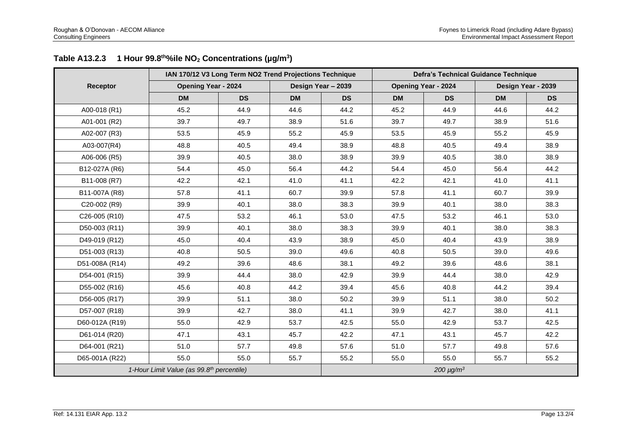|                | IAN 170/12 V3 Long Term NO2 Trend Projections Technique |           |           | <b>Defra's Technical Guidance Technique</b> |           |                            |           |                    |  |
|----------------|---------------------------------------------------------|-----------|-----------|---------------------------------------------|-----------|----------------------------|-----------|--------------------|--|
| Receptor       | <b>Opening Year - 2024</b>                              |           |           | Design Year - 2039                          |           | <b>Opening Year - 2024</b> |           | Design Year - 2039 |  |
|                | <b>DM</b>                                               | <b>DS</b> | <b>DM</b> | <b>DS</b>                                   | <b>DM</b> | <b>DS</b>                  | <b>DM</b> | <b>DS</b>          |  |
| A00-018 (R1)   | 45.2                                                    | 44.9      | 44.6      | 44.2                                        | 45.2      | 44.9                       | 44.6      | 44.2               |  |
| A01-001 (R2)   | 39.7                                                    | 49.7      | 38.9      | 51.6                                        | 39.7      | 49.7                       | 38.9      | 51.6               |  |
| A02-007 (R3)   | 53.5                                                    | 45.9      | 55.2      | 45.9                                        | 53.5      | 45.9                       | 55.2      | 45.9               |  |
| A03-007(R4)    | 48.8                                                    | 40.5      | 49.4      | 38.9                                        | 48.8      | 40.5                       | 49.4      | 38.9               |  |
| A06-006 (R5)   | 39.9                                                    | 40.5      | 38.0      | 38.9                                        | 39.9      | 40.5                       | 38.0      | 38.9               |  |
| B12-027A (R6)  | 54.4                                                    | 45.0      | 56.4      | 44.2                                        | 54.4      | 45.0                       | 56.4      | 44.2               |  |
| B11-008 (R7)   | 42.2                                                    | 42.1      | 41.0      | 41.1                                        | 42.2      | 42.1                       | 41.0      | 41.1               |  |
| B11-007A (R8)  | 57.8                                                    | 41.1      | 60.7      | 39.9                                        | 57.8      | 41.1                       | 60.7      | 39.9               |  |
| C20-002 (R9)   | 39.9                                                    | 40.1      | 38.0      | 38.3                                        | 39.9      | 40.1                       | 38.0      | 38.3               |  |
| C26-005 (R10)  | 47.5                                                    | 53.2      | 46.1      | 53.0                                        | 47.5      | 53.2                       | 46.1      | 53.0               |  |
| D50-003 (R11)  | 39.9                                                    | 40.1      | 38.0      | 38.3                                        | 39.9      | 40.1                       | 38.0      | 38.3               |  |
| D49-019 (R12)  | 45.0                                                    | 40.4      | 43.9      | 38.9                                        | 45.0      | 40.4                       | 43.9      | 38.9               |  |
| D51-003 (R13)  | 40.8                                                    | 50.5      | 39.0      | 49.6                                        | 40.8      | 50.5                       | 39.0      | 49.6               |  |
| D51-008A (R14) | 49.2                                                    | 39.6      | 48.6      | 38.1                                        | 49.2      | 39.6                       | 48.6      | 38.1               |  |
| D54-001 (R15)  | 39.9                                                    | 44.4      | 38.0      | 42.9                                        | 39.9      | 44.4                       | 38.0      | 42.9               |  |
| D55-002 (R16)  | 45.6                                                    | 40.8      | 44.2      | 39.4                                        | 45.6      | 40.8                       | 44.2      | 39.4               |  |
| D56-005 (R17)  | 39.9                                                    | 51.1      | 38.0      | 50.2                                        | 39.9      | 51.1                       | 38.0      | 50.2               |  |
| D57-007 (R18)  | 39.9                                                    | 42.7      | 38.0      | 41.1                                        | 39.9      | 42.7                       | 38.0      | 41.1               |  |
| D60-012A (R19) | 55.0                                                    | 42.9      | 53.7      | 42.5                                        | 55.0      | 42.9                       | 53.7      | 42.5               |  |
| D61-014 (R20)  | 47.1                                                    | 43.1      | 45.7      | 42.2                                        | 47.1      | 43.1                       | 45.7      | 42.2               |  |
| D64-001 (R21)  | 51.0                                                    | 57.7      | 49.8      | 57.6                                        | 51.0      | 57.7                       | 49.8      | 57.6               |  |
| D65-001A (R22) | 55.0                                                    | 55.0      | 55.7      | 55.2                                        | 55.0      | 55.0                       | 55.7      | 55.2               |  |
|                | 1-Hour Limit Value (as 99.8th percentile)               |           |           |                                             |           | 200 $\mu$ g/m <sup>3</sup> |           |                    |  |

#### **Table A13.2.3 1 Hour 99.8th%ile NO<sup>2</sup> Concentrations (µg/m<sup>3</sup> )**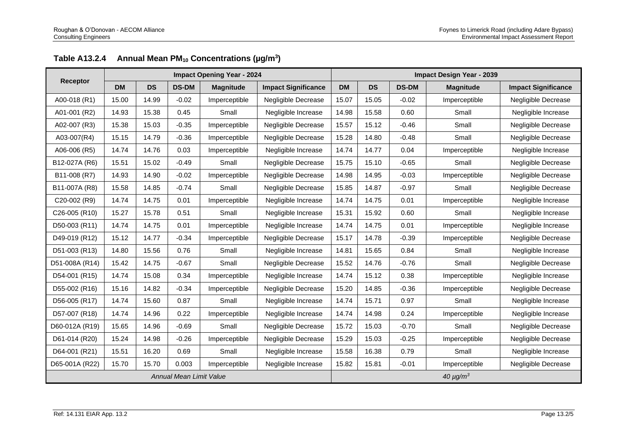|                 |           |           |                         | <b>Impact Opening Year - 2024</b> |                            | <b>Impact Design Year - 2039</b> |           |              |                  |                            |  |
|-----------------|-----------|-----------|-------------------------|-----------------------------------|----------------------------|----------------------------------|-----------|--------------|------------------|----------------------------|--|
| <b>Receptor</b> | <b>DM</b> | <b>DS</b> | <b>DS-DM</b>            | <b>Magnitude</b>                  | <b>Impact Significance</b> | <b>DM</b>                        | <b>DS</b> | <b>DS-DM</b> | <b>Magnitude</b> | <b>Impact Significance</b> |  |
| A00-018 (R1)    | 15.00     | 14.99     | $-0.02$                 | Imperceptible                     | Negligible Decrease        | 15.07                            | 15.05     | $-0.02$      | Imperceptible    | Negligible Decrease        |  |
| A01-001 (R2)    | 14.93     | 15.38     | 0.45                    | Small                             | Negligible Increase        | 14.98                            | 15.58     | 0.60         | Small            | Negligible Increase        |  |
| A02-007 (R3)    | 15.38     | 15.03     | $-0.35$                 | Imperceptible                     | Negligible Decrease        | 15.57                            | 15.12     | $-0.46$      | Small            | Negligible Decrease        |  |
| A03-007(R4)     | 15.15     | 14.79     | $-0.36$                 | Imperceptible                     | Negligible Decrease        | 15.28                            | 14.80     | $-0.48$      | Small            | Negligible Decrease        |  |
| A06-006 (R5)    | 14.74     | 14.76     | 0.03                    | Imperceptible                     | Negligible Increase        | 14.74                            | 14.77     | 0.04         | Imperceptible    | Negligible Increase        |  |
| B12-027A (R6)   | 15.51     | 15.02     | $-0.49$                 | Small                             | Negligible Decrease        | 15.75                            | 15.10     | $-0.65$      | Small            | Negligible Decrease        |  |
| B11-008 (R7)    | 14.93     | 14.90     | $-0.02$                 | Imperceptible                     | Negligible Decrease        | 14.98                            | 14.95     | $-0.03$      | Imperceptible    | Negligible Decrease        |  |
| B11-007A (R8)   | 15.58     | 14.85     | $-0.74$                 | Small                             | Negligible Decrease        | 15.85                            | 14.87     | $-0.97$      | Small            | Negligible Decrease        |  |
| C20-002 (R9)    | 14.74     | 14.75     | 0.01                    | Imperceptible                     | Negligible Increase        | 14.74                            | 14.75     | 0.01         | Imperceptible    | Negligible Increase        |  |
| C26-005 (R10)   | 15.27     | 15.78     | 0.51                    | Small                             | Negligible Increase        | 15.31                            | 15.92     | 0.60         | Small            | Negligible Increase        |  |
| D50-003 (R11)   | 14.74     | 14.75     | 0.01                    | Imperceptible                     | Negligible Increase        | 14.74                            | 14.75     | 0.01         | Imperceptible    | Negligible Increase        |  |
| D49-019 (R12)   | 15.12     | 14.77     | $-0.34$                 | Imperceptible                     | Negligible Decrease        | 15.17                            | 14.78     | $-0.39$      | Imperceptible    | Negligible Decrease        |  |
| D51-003 (R13)   | 14.80     | 15.56     | 0.76                    | Small                             | Negligible Increase        | 14.81                            | 15.65     | 0.84         | Small            | Negligible Increase        |  |
| D51-008A (R14)  | 15.42     | 14.75     | $-0.67$                 | Small                             | Negligible Decrease        | 15.52                            | 14.76     | $-0.76$      | Small            | Negligible Decrease        |  |
| D54-001 (R15)   | 14.74     | 15.08     | 0.34                    | Imperceptible                     | Negligible Increase        | 14.74                            | 15.12     | 0.38         | Imperceptible    | Negligible Increase        |  |
| D55-002 (R16)   | 15.16     | 14.82     | $-0.34$                 | Imperceptible                     | Negligible Decrease        | 15.20                            | 14.85     | $-0.36$      | Imperceptible    | Negligible Decrease        |  |
| D56-005 (R17)   | 14.74     | 15.60     | 0.87                    | Small                             | Negligible Increase        | 14.74                            | 15.71     | 0.97         | Small            | Negligible Increase        |  |
| D57-007 (R18)   | 14.74     | 14.96     | 0.22                    | Imperceptible                     | Negligible Increase        | 14.74                            | 14.98     | 0.24         | Imperceptible    | Negligible Increase        |  |
| D60-012A (R19)  | 15.65     | 14.96     | $-0.69$                 | Small                             | Negligible Decrease        | 15.72                            | 15.03     | $-0.70$      | Small            | Negligible Decrease        |  |
| D61-014 (R20)   | 15.24     | 14.98     | $-0.26$                 | Imperceptible                     | Negligible Decrease        | 15.29                            | 15.03     | $-0.25$      | Imperceptible    | Negligible Decrease        |  |
| D64-001 (R21)   | 15.51     | 16.20     | 0.69                    | Small                             | Negligible Increase        | 15.58                            | 16.38     | 0.79         | Small            | Negligible Increase        |  |
| D65-001A (R22)  | 15.70     | 15.70     | 0.003                   | Imperceptible                     | Negligible Increase        | 15.82                            | 15.81     | $-0.01$      | Imperceptible    | Negligible Decrease        |  |
|                 |           |           | Annual Mean Limit Value |                                   |                            | $40 \mu g/m^3$                   |           |              |                  |                            |  |

#### **Table A13.2.4 Annual Mean PM<sup>10</sup> Concentrations (µg/m<sup>3</sup> )**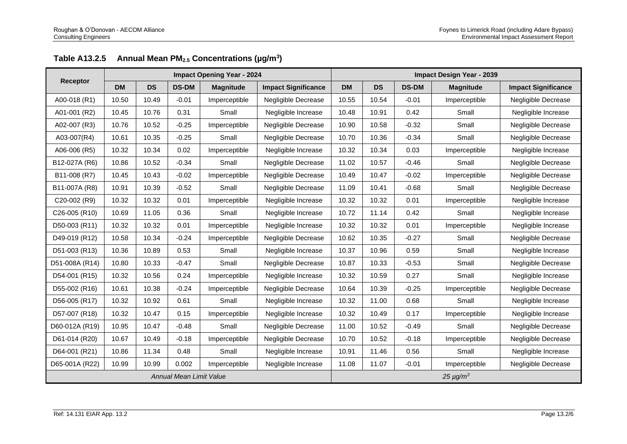|                 |           |           |                                | <b>Impact Opening Year - 2024</b> |                            | <b>Impact Design Year - 2039</b> |           |              |                  |                            |  |  |
|-----------------|-----------|-----------|--------------------------------|-----------------------------------|----------------------------|----------------------------------|-----------|--------------|------------------|----------------------------|--|--|
| <b>Receptor</b> | <b>DM</b> | <b>DS</b> | <b>DS-DM</b>                   | <b>Magnitude</b>                  | <b>Impact Significance</b> | <b>DM</b>                        | <b>DS</b> | <b>DS-DM</b> | <b>Magnitude</b> | <b>Impact Significance</b> |  |  |
| A00-018 (R1)    | 10.50     | 10.49     | $-0.01$                        | Imperceptible                     | Negligible Decrease        | 10.55                            | 10.54     | $-0.01$      | Imperceptible    | Negligible Decrease        |  |  |
| A01-001 (R2)    | 10.45     | 10.76     | 0.31                           | Small                             | Negligible Increase        | 10.48                            | 10.91     | 0.42         | Small            | Negligible Increase        |  |  |
| A02-007 (R3)    | 10.76     | 10.52     | $-0.25$                        | Imperceptible                     | Negligible Decrease        | 10.90                            | 10.58     | $-0.32$      | Small            | Negligible Decrease        |  |  |
| A03-007(R4)     | 10.61     | 10.35     | $-0.25$                        | Small                             | Negligible Decrease        | 10.70                            | 10.36     | $-0.34$      | Small            | Negligible Decrease        |  |  |
| A06-006 (R5)    | 10.32     | 10.34     | 0.02                           | Imperceptible                     | Negligible Increase        | 10.32                            | 10.34     | 0.03         | Imperceptible    | Negligible Increase        |  |  |
| B12-027A (R6)   | 10.86     | 10.52     | $-0.34$                        | Small                             | Negligible Decrease        | 11.02                            | 10.57     | $-0.46$      | Small            | Negligible Decrease        |  |  |
| B11-008 (R7)    | 10.45     | 10.43     | $-0.02$                        | Imperceptible                     | Negligible Decrease        | 10.49                            | 10.47     | $-0.02$      | Imperceptible    | Negligible Decrease        |  |  |
| B11-007A (R8)   | 10.91     | 10.39     | $-0.52$                        | Small                             | Negligible Decrease        | 11.09                            | 10.41     | $-0.68$      | Small            | Negligible Decrease        |  |  |
| C20-002 (R9)    | 10.32     | 10.32     | 0.01                           | Imperceptible                     | Negligible Increase        | 10.32                            | 10.32     | 0.01         | Imperceptible    | Negligible Increase        |  |  |
| C26-005 (R10)   | 10.69     | 11.05     | 0.36                           | Small                             | Negligible Increase        | 10.72                            | 11.14     | 0.42         | Small            | Negligible Increase        |  |  |
| D50-003 (R11)   | 10.32     | 10.32     | 0.01                           | Imperceptible                     | Negligible Increase        | 10.32                            | 10.32     | 0.01         | Imperceptible    | Negligible Increase        |  |  |
| D49-019 (R12)   | 10.58     | 10.34     | $-0.24$                        | Imperceptible                     | Negligible Decrease        | 10.62                            | 10.35     | $-0.27$      | Small            | Negligible Decrease        |  |  |
| D51-003 (R13)   | 10.36     | 10.89     | 0.53                           | Small                             | Negligible Increase        | 10.37                            | 10.96     | 0.59         | Small            | Negligible Increase        |  |  |
| D51-008A (R14)  | 10.80     | 10.33     | $-0.47$                        | Small                             | Negligible Decrease        | 10.87                            | 10.33     | $-0.53$      | Small            | Negligible Decrease        |  |  |
| D54-001 (R15)   | 10.32     | 10.56     | 0.24                           | Imperceptible                     | Negligible Increase        | 10.32                            | 10.59     | 0.27         | Small            | Negligible Increase        |  |  |
| D55-002 (R16)   | 10.61     | 10.38     | $-0.24$                        | Imperceptible                     | Negligible Decrease        | 10.64                            | 10.39     | $-0.25$      | Imperceptible    | Negligible Decrease        |  |  |
| D56-005 (R17)   | 10.32     | 10.92     | 0.61                           | Small                             | Negligible Increase        | 10.32                            | 11.00     | 0.68         | Small            | Negligible Increase        |  |  |
| D57-007 (R18)   | 10.32     | 10.47     | 0.15                           | Imperceptible                     | Negligible Increase        | 10.32                            | 10.49     | 0.17         | Imperceptible    | Negligible Increase        |  |  |
| D60-012A (R19)  | 10.95     | 10.47     | $-0.48$                        | Small                             | Negligible Decrease        | 11.00                            | 10.52     | $-0.49$      | Small            | Negligible Decrease        |  |  |
| D61-014 (R20)   | 10.67     | 10.49     | $-0.18$                        | Imperceptible                     | Negligible Decrease        | 10.70                            | 10.52     | $-0.18$      | Imperceptible    | Negligible Decrease        |  |  |
| D64-001 (R21)   | 10.86     | 11.34     | 0.48                           | Small                             | Negligible Increase        | 10.91                            | 11.46     | 0.56         | Small            | Negligible Increase        |  |  |
| D65-001A (R22)  | 10.99     | 10.99     | 0.002                          | Imperceptible                     | Negligible Increase        | 11.08                            | 11.07     | $-0.01$      | Imperceptible    | Negligible Decrease        |  |  |
|                 |           |           | <b>Annual Mean Limit Value</b> |                                   |                            | $25 \mu g/m^3$                   |           |              |                  |                            |  |  |

## **Table A13.2.5 Annual Mean PM2.5 Concentrations (µg/m<sup>3</sup> )**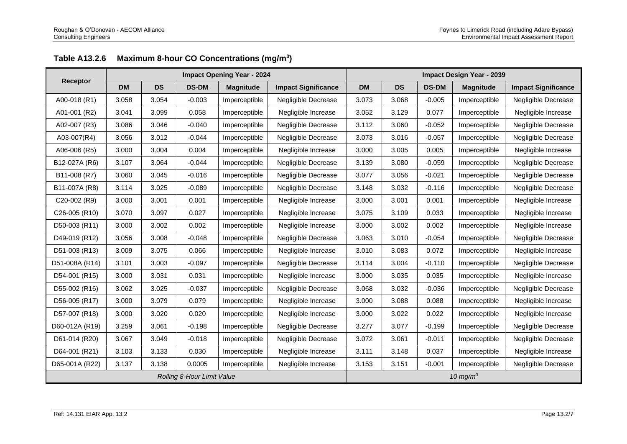|                |           |           |                            | <b>Impact Opening Year - 2024</b> |                            | <b>Impact Design Year - 2039</b> |           |              |                  |                            |  |
|----------------|-----------|-----------|----------------------------|-----------------------------------|----------------------------|----------------------------------|-----------|--------------|------------------|----------------------------|--|
| Receptor       | <b>DM</b> | <b>DS</b> | <b>DS-DM</b>               | <b>Magnitude</b>                  | <b>Impact Significance</b> | <b>DM</b>                        | <b>DS</b> | <b>DS-DM</b> | <b>Magnitude</b> | <b>Impact Significance</b> |  |
| A00-018 (R1)   | 3.058     | 3.054     | $-0.003$                   | Imperceptible                     | Negligible Decrease        | 3.073                            | 3.068     | $-0.005$     | Imperceptible    | Negligible Decrease        |  |
| A01-001 (R2)   | 3.041     | 3.099     | 0.058                      | Imperceptible                     | Negligible Increase        | 3.052                            | 3.129     | 0.077        | Imperceptible    | Negligible Increase        |  |
| A02-007 (R3)   | 3.086     | 3.046     | $-0.040$                   | Imperceptible                     | Negligible Decrease        | 3.112                            | 3.060     | $-0.052$     | Imperceptible    | Negligible Decrease        |  |
| A03-007(R4)    | 3.056     | 3.012     | $-0.044$                   | Imperceptible                     | Negligible Decrease        | 3.073                            | 3.016     | $-0.057$     | Imperceptible    | Negligible Decrease        |  |
| A06-006 (R5)   | 3.000     | 3.004     | 0.004                      | Imperceptible                     | Negligible Increase        | 3.000                            | 3.005     | 0.005        | Imperceptible    | Negligible Increase        |  |
| B12-027A (R6)  | 3.107     | 3.064     | $-0.044$                   | Imperceptible                     | Negligible Decrease        | 3.139                            | 3.080     | $-0.059$     | Imperceptible    | Negligible Decrease        |  |
| B11-008 (R7)   | 3.060     | 3.045     | $-0.016$                   | Imperceptible                     | Negligible Decrease        | 3.077                            | 3.056     | $-0.021$     | Imperceptible    | Negligible Decrease        |  |
| B11-007A (R8)  | 3.114     | 3.025     | $-0.089$                   | Imperceptible                     | Negligible Decrease        | 3.148                            | 3.032     | $-0.116$     | Imperceptible    | Negligible Decrease        |  |
| C20-002 (R9)   | 3.000     | 3.001     | 0.001                      | Imperceptible                     | Negligible Increase        | 3.000                            | 3.001     | 0.001        | Imperceptible    | Negligible Increase        |  |
| C26-005 (R10)  | 3.070     | 3.097     | 0.027                      | Imperceptible                     | Negligible Increase        | 3.075                            | 3.109     | 0.033        | Imperceptible    | Negligible Increase        |  |
| D50-003 (R11)  | 3.000     | 3.002     | 0.002                      | Imperceptible                     | Negligible Increase        | 3.000                            | 3.002     | 0.002        | Imperceptible    | Negligible Increase        |  |
| D49-019 (R12)  | 3.056     | 3.008     | $-0.048$                   | Imperceptible                     | Negligible Decrease        | 3.063                            | 3.010     | $-0.054$     | Imperceptible    | Negligible Decrease        |  |
| D51-003 (R13)  | 3.009     | 3.075     | 0.066                      | Imperceptible                     | Negligible Increase        | 3.010                            | 3.083     | 0.072        | Imperceptible    | Negligible Increase        |  |
| D51-008A (R14) | 3.101     | 3.003     | $-0.097$                   | Imperceptible                     | Negligible Decrease        | 3.114                            | 3.004     | $-0.110$     | Imperceptible    | Negligible Decrease        |  |
| D54-001 (R15)  | 3.000     | 3.031     | 0.031                      | Imperceptible                     | Negligible Increase        | 3.000                            | 3.035     | 0.035        | Imperceptible    | Negligible Increase        |  |
| D55-002 (R16)  | 3.062     | 3.025     | $-0.037$                   | Imperceptible                     | Negligible Decrease        | 3.068                            | 3.032     | $-0.036$     | Imperceptible    | Negligible Decrease        |  |
| D56-005 (R17)  | 3.000     | 3.079     | 0.079                      | Imperceptible                     | Negligible Increase        | 3.000                            | 3.088     | 0.088        | Imperceptible    | Negligible Increase        |  |
| D57-007 (R18)  | 3.000     | 3.020     | 0.020                      | Imperceptible                     | Negligible Increase        | 3.000                            | 3.022     | 0.022        | Imperceptible    | Negligible Increase        |  |
| D60-012A (R19) | 3.259     | 3.061     | $-0.198$                   | Imperceptible                     | Negligible Decrease        | 3.277                            | 3.077     | $-0.199$     | Imperceptible    | Negligible Decrease        |  |
| D61-014 (R20)  | 3.067     | 3.049     | $-0.018$                   | Imperceptible                     | Negligible Decrease        | 3.072                            | 3.061     | $-0.011$     | Imperceptible    | Negligible Decrease        |  |
| D64-001 (R21)  | 3.103     | 3.133     | 0.030                      | Imperceptible                     | Negligible Increase        | 3.111                            | 3.148     | 0.037        | Imperceptible    | Negligible Increase        |  |
| D65-001A (R22) | 3.137     | 3.138     | 0.0005                     | Imperceptible                     | Negligible Increase        | 3.153                            | 3.151     | $-0.001$     | Imperceptible    | Negligible Decrease        |  |
|                |           |           | Rolling 8-Hour Limit Value |                                   |                            | 10 mg/ $m3$                      |           |              |                  |                            |  |

#### **Table A13.2.6 Maximum 8-hour CO Concentrations (mg/m<sup>3</sup> )**